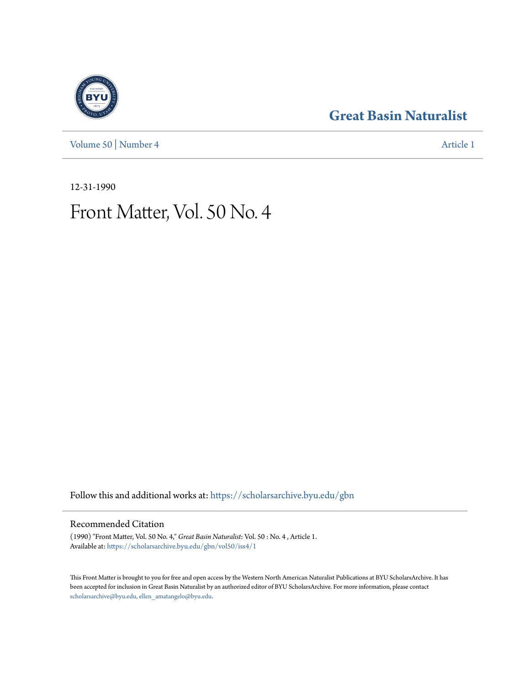[Volume 50](https://scholarsarchive.byu.edu/gbn/vol50?utm_source=scholarsarchive.byu.edu%2Fgbn%2Fvol50%2Fiss4%2F1&utm_medium=PDF&utm_campaign=PDFCoverPages) | [Number 4](https://scholarsarchive.byu.edu/gbn/vol50/iss4?utm_source=scholarsarchive.byu.edu%2Fgbn%2Fvol50%2Fiss4%2F1&utm_medium=PDF&utm_campaign=PDFCoverPages) [Article 1](https://scholarsarchive.byu.edu/gbn/vol50/iss4/1?utm_source=scholarsarchive.byu.edu%2Fgbn%2Fvol50%2Fiss4%2F1&utm_medium=PDF&utm_campaign=PDFCoverPages)

## **[Great Basin Naturalist](https://scholarsarchive.byu.edu/gbn?utm_source=scholarsarchive.byu.edu%2Fgbn%2Fvol50%2Fiss4%2F1&utm_medium=PDF&utm_campaign=PDFCoverPages)**

12-31-1990

# Front Matter, Vol. 50 No. 4

Follow this and additional works at: [https://scholarsarchive.byu.edu/gbn](https://scholarsarchive.byu.edu/gbn?utm_source=scholarsarchive.byu.edu%2Fgbn%2Fvol50%2Fiss4%2F1&utm_medium=PDF&utm_campaign=PDFCoverPages)

### Recommended Citation

(1990) "Front Matter, Vol. 50 No. 4," *Great Basin Naturalist*: Vol. 50 : No. 4 , Article 1. Available at: [https://scholarsarchive.byu.edu/gbn/vol50/iss4/1](https://scholarsarchive.byu.edu/gbn/vol50/iss4/1?utm_source=scholarsarchive.byu.edu%2Fgbn%2Fvol50%2Fiss4%2F1&utm_medium=PDF&utm_campaign=PDFCoverPages)

This Front Matter is brought to you for free and open access by the Western North American Naturalist Publications at BYU ScholarsArchive. It has been accepted for inclusion in Great Basin Naturalist by an authorized editor of BYU ScholarsArchive. For more information, please contact [scholarsarchive@byu.edu, ellen\\_amatangelo@byu.edu.](mailto:scholarsarchive@byu.edu,%20ellen_amatangelo@byu.edu)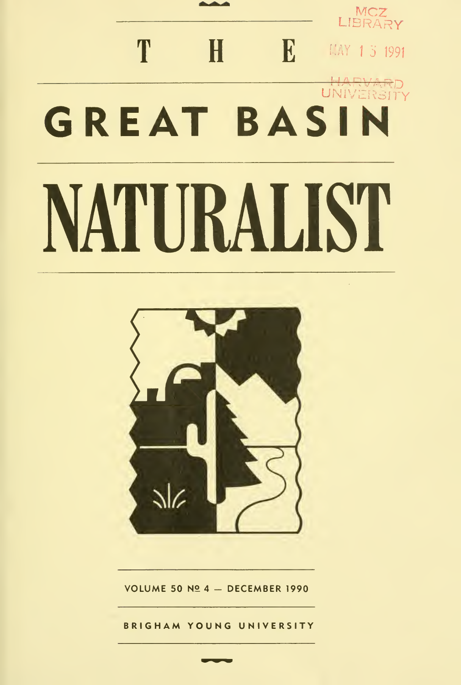



VOLUME 50  $N24 - DECEMBER$  1990

BRIGHAM YOUNG UNIVERSITY